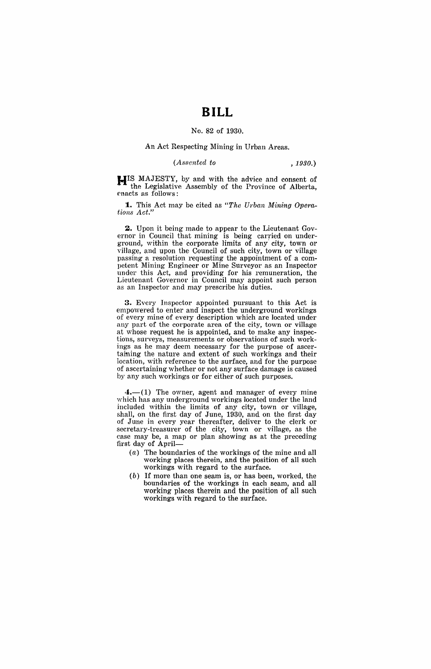## **BILL**

## No. 82 of 1930.

## An Act Respecting Mining in Urban Areas.

*(Assented to , 1930.)* 

**HIS** MAJESTY, by and with the advice and consent of the Legislative Assembly of the Province of Alberta, enacts as follows:

**1.** This Act may be cited as "The Urban Mining Opera*tions Act."* 

2. Upon it being made to appear to the Lieutenant Governor in Council that mining is being carried on underground, within the corporate limits of any' city, town or village, and upon the Council of such city, town or village passing a resolution requesting the appointment of a competent Mining Engineer or Mine Surveyor as an Inspector under this Act, and providing for his remuneration, the Lieutenant Governor in Council may appoint such person as an Inspector and may prescribe his duties.

**3.** Every Inspector appointed pursuant to this Act is empowered to enter and inspect the underground workings of every mine of every description which are located under any part of the corporate area of the city, town or village at whose request he is appointed, and to make any inspections, surveys, measurements or observations of such workings as he may deem necessary for the purpose of ascertaining the nature and extent of such workings and their location, with reference to the surface, and for the purpose of ascertaining whether or not any surface damage is caused by any such workings or for either of such purposes.

 $4.$ —(1) The owner, agent and manager of every mine which has any underground workings located under the land included within the limits of any city, town or village, shall, on the first day of June, 1930, and on the first day of June in every year thereafter, deliver to the clerk or secretary-treasurer of the city, town or village, as the case may be, a map or plan showing as at the preceding first day of April-

- (a) The boundaries of the workings of the mine and all working places therein, and the position of all such workings with regard to the surface.
- (b) If more than one seam is, or has been, worked, the boundaries of the workings in each seam, and all working places therein and the position of all such workings with regard to the surface.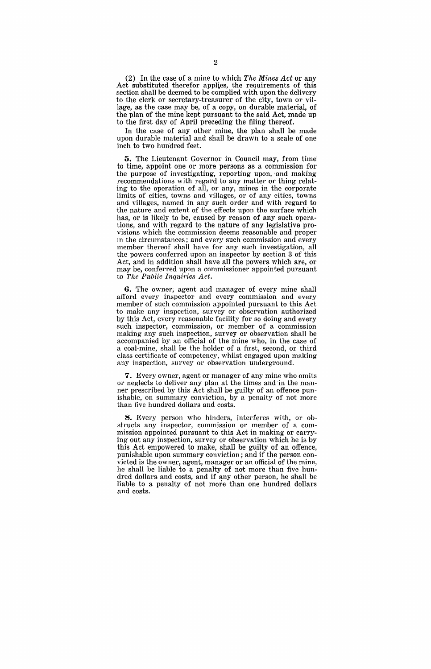(2) In the case of a mine to which The Mines Act or any Act substituted therefor applies, the requirements of this section shall be deemed to be complied with upon the delivery to the clerk or secretary-treasurer of the city, town or village, as the case may be, of a copy, on durable material, of the plan of the mine kept pursuant to the said Act, made up to the first day of April preceding the filing thereof.

In the case of any other mine, the plan shall be made upon durable material and shall be drawn to a scale of one inch to two hundred feet.

**5.** The Lieutenant Governor in Council may, from time to time, appoint one or more persons as a commission for the purpose of investigating, reporting upon, 'and making recommendations with regard to any matter or thing relating to the operation of all, or any, mines in the corporate limits of cities, towns and villages, or of any cities, towns and villages, named in any such order and with regard to the nature and extent of the effects upon the surface which has, or is likely to be, caused by reason of any such operations, and with regard to the nature of any legislative provisions which the commission deemg reasonable and proper in the circumstances; and every such commission and every member thereof shall have for any such investigation, all the powers conferred upon an inspeetor by section 3 of this Act, and in addition shall have all the powers which are, or may be, conferred upon a commissioner appointed pursuant to *The Public Inquiries Act.* 

**6.** The owner; agent and manager of every mine shall afford every inspector and every commission and every member of such commission appointed pursuant to this Act to make any inspection, survey or observation authorized by this Act, every reasonable facility for so doing and every such inspector, commission, or member of a commission making any such inspection, survey or observation shall be accompanied by an official of the mine who, in the case of a coal-mine, shall be the holder of a first, second, or third class certificate of competency, whilst engaged upon making any inspection, survey or observation underground.

**7.** Every owner, agent or manager of any mine who omits or neglects to deliver any plan at the times and in the manner prescribed by this Act shall be guilty of an offence punishable, on summary conviction, by a penalty of not more than five hundred dollars and costs.

**8.** Every person who hinders, interferes with, or obstructs any inspector, commission or member of a commission appointed pursuant to this Act in making or carrying out any inspection, survey or observation which he is by this Act empowered to make, shall be guilty of an offence, punishable upon summary conviction; and if the person convicted is the owner, agent, manager or an official of the mine, he shall be liable to a penalty of not more than five hundred dollars and costs, and if any other person, he shall be liable to a penalty of not more than one hundred dollars and costs.